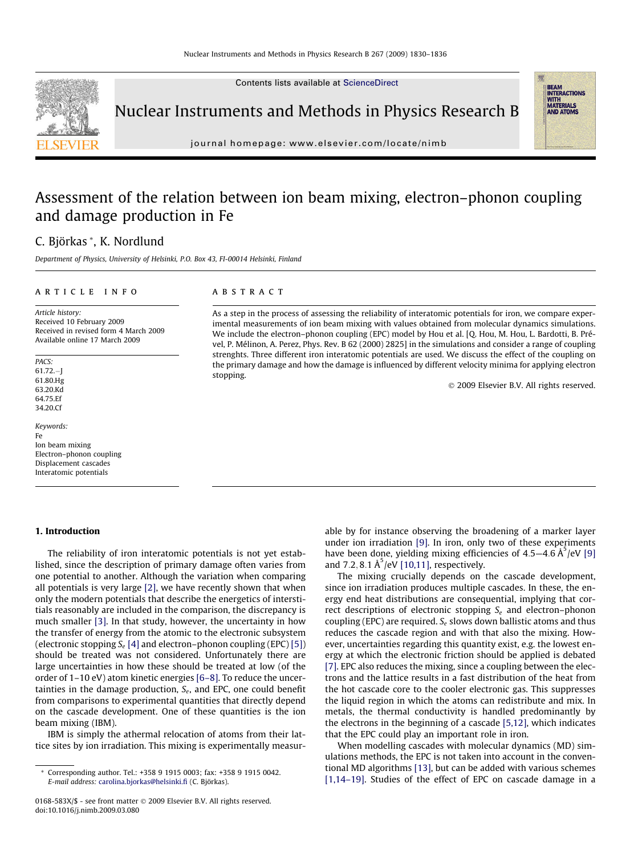Contents lists available at [ScienceDirect](http://www.sciencedirect.com/science/journal/0168583X)



Nuclear Instruments and Methods in Physics Research B

journal homepage: [www.elsevier.com/locate/nimb](http://www.elsevier.com/locate/nimb)

# Assessment of the relation between ion beam mixing, electron–phonon coupling and damage production in Fe

# C. Björkas \*, K. Nordlund

Department of Physics, University of Helsinki, P.O. Box 43, FI-00014 Helsinki, Finland

#### article info

Article history: Received 10 February 2009 Received in revised form 4 March 2009 Available online 17 March 2009

**PACS:** 61.72.-J 61.80.Hg 63.20.Kd 64.75.Ef 34.20.Cf

Keywords: Fe Ion beam mixing Electron–phonon coupling Displacement cascades Interatomic potentials

# 1. Introduction

The reliability of iron interatomic potentials is not yet established, since the description of primary damage often varies from one potential to another. Although the variation when comparing all potentials is very large [\[2\],](#page-5-0) we have recently shown that when only the modern potentials that describe the energetics of interstitials reasonably are included in the comparison, the discrepancy is much smaller [\[3\].](#page-5-0) In that study, however, the uncertainty in how the transfer of energy from the atomic to the electronic subsystem (electronic stopping  $S_e$  [\[4\]](#page-5-0) and electron–phonon coupling (EPC) [\[5\]\)](#page-5-0) should be treated was not considered. Unfortunately there are large uncertainties in how these should be treated at low (of the order of 1–10 eV) atom kinetic energies [\[6–8\]](#page-5-0). To reduce the uncertainties in the damage production,  $S_e$ , and EPC, one could benefit from comparisons to experimental quantities that directly depend on the cascade development. One of these quantities is the ion beam mixing (IBM).

IBM is simply the athermal relocation of atoms from their lattice sites by ion irradiation. This mixing is experimentally measur-

#### **ABSTRACT**

As a step in the process of assessing the reliability of interatomic potentials for iron, we compare experimental measurements of ion beam mixing with values obtained from molecular dynamics simulations. We include the electron–phonon coupling (EPC) model by Hou et al. [Q. Hou, M. Hou, L. Bardotti, B. Prével, P. Mélinon, A. Perez, Phys. Rev. B 62 (2000) 2825] in the simulations and consider a range of coupling strenghts. Three different iron interatomic potentials are used. We discuss the effect of the coupling on the primary damage and how the damage is influenced by different velocity minima for applying electron stopping.

- 2009 Elsevier B.V. All rights reserved.

**BEAM<br>INTERACTIONS<br>WITH<br>MATERIALS AND ATOMS** 

able by for instance observing the broadening of a marker layer under ion irradiation [\[9\].](#page-5-0) In iron, only two of these experiments have been done, yielding mixing efficiencies of  $4.5-4.6 \text{ Å}^5/\text{eV}$  [\[9\]](#page-5-0) and 7.2, 8.1  $A^5$ /eV [\[10,11\]](#page-5-0), respectively.

The mixing crucially depends on the cascade development, since ion irradiation produces multiple cascades. In these, the energy end heat distributions are consequential, implying that correct descriptions of electronic stopping  $S_e$  and electron–phonon coupling (EPC) are required.  $S_e$  slows down ballistic atoms and thus reduces the cascade region and with that also the mixing. However, uncertainties regarding this quantity exist, e.g. the lowest energy at which the electronic friction should be applied is debated [\[7\]](#page-5-0). EPC also reduces the mixing, since a coupling between the electrons and the lattice results in a fast distribution of the heat from the hot cascade core to the cooler electronic gas. This suppresses the liquid region in which the atoms can redistribute and mix. In metals, the thermal conductivity is handled predominantly by the electrons in the beginning of a cascade [\[5,12\],](#page-5-0) which indicates that the EPC could play an important role in iron.

When modelling cascades with molecular dynamics (MD) simulations methods, the EPC is not taken into account in the conventional MD algorithms [\[13\],](#page-5-0) but can be added with various schemes [\[1,14–19\]](#page-5-0). Studies of the effect of EPC on cascade damage in a

<sup>\*</sup> Corresponding author. Tel.: +358 9 1915 0003; fax: +358 9 1915 0042. E-mail address: [carolina.bjorkas@helsinki.fi](mailto:carolina.bjorkas@helsinki.fi) (C. Björkas).

<sup>0168-583</sup>X/\$ - see front matter © 2009 Elsevier B.V. All rights reserved. doi:10.1016/j.nimb.2009.03.080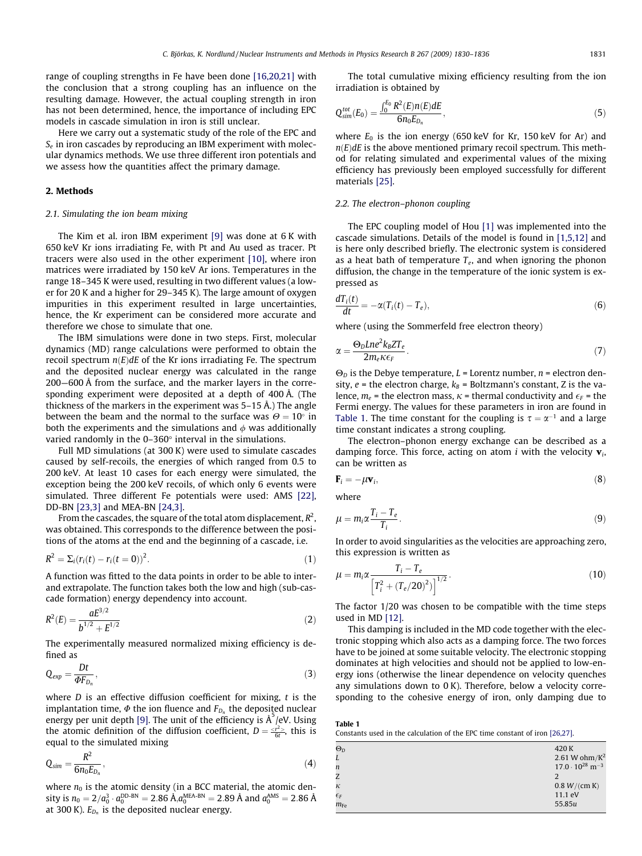<span id="page-1-0"></span>range of coupling strengths in Fe have been done [\[16,20,21\]](#page-5-0) with the conclusion that a strong coupling has an influence on the resulting damage. However, the actual coupling strength in iron has not been determined, hence, the importance of including EPC models in cascade simulation in iron is still unclear.

Here we carry out a systematic study of the role of the EPC and  $S_e$  in iron cascades by reproducing an IBM experiment with molecular dynamics methods. We use three different iron potentials and we assess how the quantities affect the primary damage.

## 2. Methods

## 2.1. Simulating the ion beam mixing

The Kim et al. iron IBM experiment [\[9\]](#page-5-0) was done at 6 K with 650 keV Kr ions irradiating Fe, with Pt and Au used as tracer. Pt tracers were also used in the other experiment [\[10\],](#page-5-0) where iron matrices were irradiated by 150 keV Ar ions. Temperatures in the range 18–345 K were used, resulting in two different values (a lower for 20 K and a higher for 29–345 K). The large amount of oxygen impurities in this experiment resulted in large uncertainties, hence, the Kr experiment can be considered more accurate and therefore we chose to simulate that one.

The IBM simulations were done in two steps. First, molecular dynamics (MD) range calculations were performed to obtain the recoil spectrum  $n(E)dE$  of the Kr ions irradiating Fe. The spectrum and the deposited nuclear energy was calculated in the range 200—600 Å from the surface, and the marker layers in the corresponding experiment were deposited at a depth of 400 Å. (The thickness of the markers in the experiment was 5–15 Å.) The angle between the beam and the normal to the surface was  $\Theta = 10^\circ$  in both the experiments and the simulations and  $\phi$  was additionally varied randomly in the  $0-360^\circ$  interval in the simulations.

Full MD simulations (at 300 K) were used to simulate cascades caused by self-recoils, the energies of which ranged from 0.5 to 200 keV. At least 10 cases for each energy were simulated, the exception being the 200 keV recoils, of which only 6 events were simulated. Three different Fe potentials were used: AMS [\[22\],](#page-6-0) DD-BN [\[23,3\]](#page-6-0) and MEA-BN [\[24,3\]](#page-6-0).

From the cascades, the square of the total atom displacement,  $R^2$  , was obtained. This corresponds to the difference between the positions of the atoms at the end and the beginning of a cascade, i.e.

$$
R^{2} = \sum_{i} (r_{i}(t) - r_{i}(t=0))^{2}.
$$
 (1)

A function was fitted to the data points in order to be able to interand extrapolate. The function takes both the low and high (sub-cascade formation) energy dependency into account.

$$
R^{2}(E) = \frac{aE^{3/2}}{b^{1/2} + E^{1/2}}
$$
 (2)

The experimentally measured normalized mixing efficiency is defined as

$$
Q_{exp} = \frac{Dt}{\Phi F_{D_n}},\tag{3}
$$

where  $D$  is an effective diffusion coefficient for mixing,  $t$  is the implantation time,  $\Phi$  the ion fluence and  $F_{D_n}$  the deposited nuclear energy per unit depth [\[9\].](#page-5-0) The unit of the efficiency is  $\AA^5$ /eV. Using the atomic definition of the diffusion coefficient,  $D = \frac{*t*<sup>2</sup>}{6t}$ , this is equal to the simulated mixing

$$
Q_{sim} = \frac{R^2}{6n_0E_{D_n}},\tag{4}
$$

where  $n_0$  is the atomic density (in a BCC material, the atomic density is  $n_0=2/a_0^3\cdot a_0^{\text{DD-BN}}=2.86$  Å, $a_0^{\text{MEA-BN}}=2.89$  Å and  $a_0^{\text{AMS}}=2.86$  Å at 300 K).  $E_{D_n}$  is the deposited nuclear energy.

The total cumulative mixing efficiency resulting from the ion irradiation is obtained by

$$
Q_{sim}^{tot}(E_0) = \frac{\int_0^{E_0} R^2(E) n(E) dE}{6 n_0 E_{D_n}},
$$
\n(5)

where  $E_0$  is the ion energy (650 keV for Kr, 150 keV for Ar) and  $n(E)dE$  is the above mentioned primary recoil spectrum. This method for relating simulated and experimental values of the mixing efficiency has previously been employed successfully for different materials [\[25\]](#page-6-0).

#### 2.2. The electron–phonon coupling

The EPC coupling model of Hou [\[1\]](#page-5-0) was implemented into the cascade simulations. Details of the model is found in [\[1,5,12\]](#page-5-0) and is here only described briefly. The electronic system is considered as a heat bath of temperature  $T_e$ , and when ignoring the phonon diffusion, the change in the temperature of the ionic system is expressed as

$$
\frac{dT_i(t)}{dt} = -\alpha (T_i(t) - T_e),\tag{6}
$$

where (using the Sommerfeld free electron theory)

$$
\alpha = \frac{\Theta_D L n e^2 k_B Z T_e}{2 m_e \kappa \epsilon_F}.
$$
\n(7)

 $\Theta$ <sub>D</sub> is the Debye temperature, L = Lorentz number, n = electron density,  $e$  = the electron charge,  $k_B$  = Boltzmann's constant, Z is the valence,  $m_e$  = the electron mass,  $\kappa$  = thermal conductivity and  $\epsilon_F$  = the Fermi energy. The values for these parameters in iron are found in Table 1. The time constant for the coupling is  $\tau = \alpha^{-1}$  and a large time constant indicates a strong coupling.

The electron–phonon energy exchange can be described as a damping force. This force, acting on atom *i* with the velocity  $\mathbf{v}_i$ , can be written as

$$
\mathbf{F}_i = -\mu \mathbf{v}_i,\tag{8}
$$

where

$$
\mu = m_i \alpha \frac{T_i - T_e}{T_i}.
$$
\n(9)

In order to avoid singularities as the velocities are approaching zero, this expression is written as

$$
\mu = m_i \alpha \frac{T_i - T_e}{\left[T_i^2 + (T_e/20)^2\right]^{1/2}}.
$$
\n(10)

The factor 1/20 was chosen to be compatible with the time steps used in MD [\[12\].](#page-5-0)

This damping is included in the MD code together with the electronic stopping which also acts as a damping force. The two forces have to be joined at some suitable velocity. The electronic stopping dominates at high velocities and should not be applied to low-energy ions (otherwise the linear dependence on velocity quenches any simulations down to 0 K). Therefore, below a velocity corresponding to the cohesive energy of iron, only damping due to

Table 1 Constants used in the calculation of the EPC time constant of iron [\[26,27\]](#page-6-0).

| $\Theta_D$       | 420 K                                |
|------------------|--------------------------------------|
|                  | 2.61 W ohm/ $K^2$                    |
| $\boldsymbol{n}$ | $17.0 \cdot 10^{28}$ m <sup>-3</sup> |
| Z                |                                      |
| к                | 0.8 W/(cm K)                         |
| $\epsilon_F$     | 11.1 eV                              |
| $m_{\text{Fe}}$  | 55.85u                               |
|                  |                                      |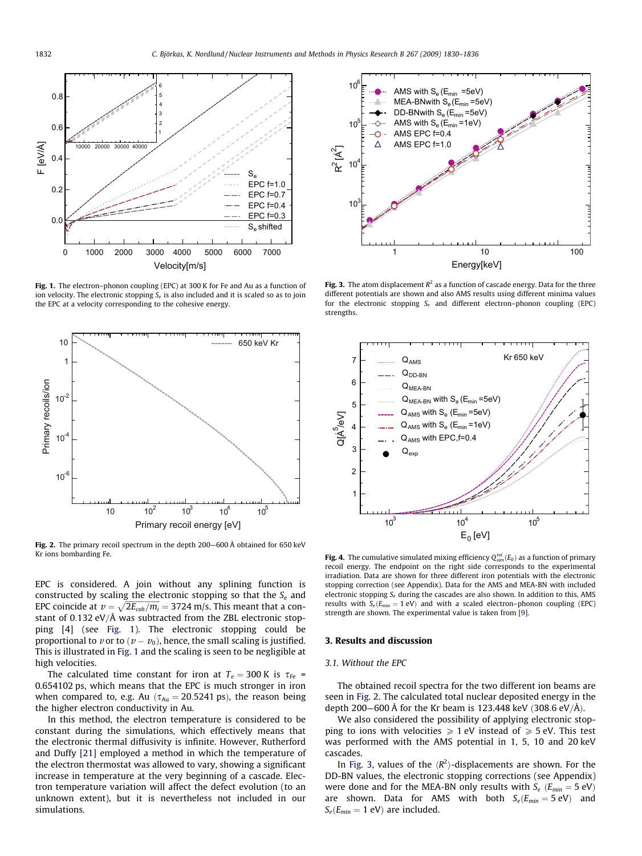<span id="page-2-0"></span>

Fig. 1. The electron–phonon coupling (EPC) at 300 K for Fe and Au as a function of ion velocity. The electronic stopping  $S_e$  is also included and it is scaled so as to join the EPC at a velocity corresponding to the cohesive energy.



Fig. 2. The primary recoil spectrum in the depth 200—600 Å obtained for 650 keV Kr ions bombarding Fe.

EPC is considered. A join without any splining function is constructed by scaling the electronic stopping so that the  $S_e$  and EPC coincide at  $v = \sqrt{2E_{coh}/m_i} = 3724$  m/s. This meant that a constant of 0.132 eV/Å was subtracted from the ZBL electronic stopping [4] (see Fig. 1). The electronic stopping could be proportional to  $v$  or to  $(v - v_0)$ , hence, the small scaling is justified. This is illustrated in Fig. 1 and the scaling is seen to be negligible at high velocities.

The calculated time constant for iron at  $T_e = 300$  K is  $\tau_{Fe}$  = 0.654102 ps, which means that the EPC is much stronger in iron when compared to, e.g. Au ( $\tau_{Au} = 20.5241$  ps), the reason being the higher electron conductivity in Au.

In this method, the electron temperature is considered to be constant during the simulations, which effectively means that the electronic thermal diffusivity is infinite. However, Rutherford and Duffy [\[21\]](#page-6-0) employed a method in which the temperature of the electron thermostat was allowed to vary, showing a significant increase in temperature at the very beginning of a cascade. Electron temperature variation will affect the defect evolution (to an unknown extent), but it is nevertheless not included in our simulations.



Fig. 3. The atom displacement  $R^2$  as a function of cascade energy. Data for the three different potentials are shown and also AMS results using different minima values for the electronic stopping  $S_e$  and different electron–phonon coupling (EPC) strengths.



**Fig. 4.** The cumulative simulated mixing efficiency  $Q_{sim}^{tot}(E_0)$  as a function of primary recoil energy. The endpoint on the right side corresponds to the experimental irradiation. Data are shown for three different iron potentials with the electronic stopping correction (see Appendix). Data for the AMS and MEA-BN with included electronic stopping  $S_e$  during the cascades are also shown. In addition to this, AMS results with  $S_e(E_{min} = 1 \text{ eV})$  and with a scaled electron–phonon coupling (EPC) strength are shown. The experimental value is taken from [\[9\].](#page-5-0)

# 3. Results and discussion

# 3.1. Without the EPC

The obtained recoil spectra for the two different ion beams are seen in Fig. 2. The calculated total nuclear deposited energy in the depth 200–600 Å for the Kr beam is 123.448 keV (308.6 eV/Å).

We also considered the possibility of applying electronic stopping to ions with velocities  $\geq 1$  eV instead of  $\geq 5$  eV. This test was performed with the AMS potential in 1, 5, 10 and 20 keV cascades.

In Fig. 3, values of the  $\langle R^2 \rangle$ -displacements are shown. For the DD-BN values, the electronic stopping corrections (see Appendix) were done and for the MEA-BN only results with  $S_e$  ( $E_{min} = 5$  eV) are shown. Data for AMS with both  $S_e(E_{min} = 5 \text{ eV})$  and  $S_e(E_{min} = 1$  eV) are included.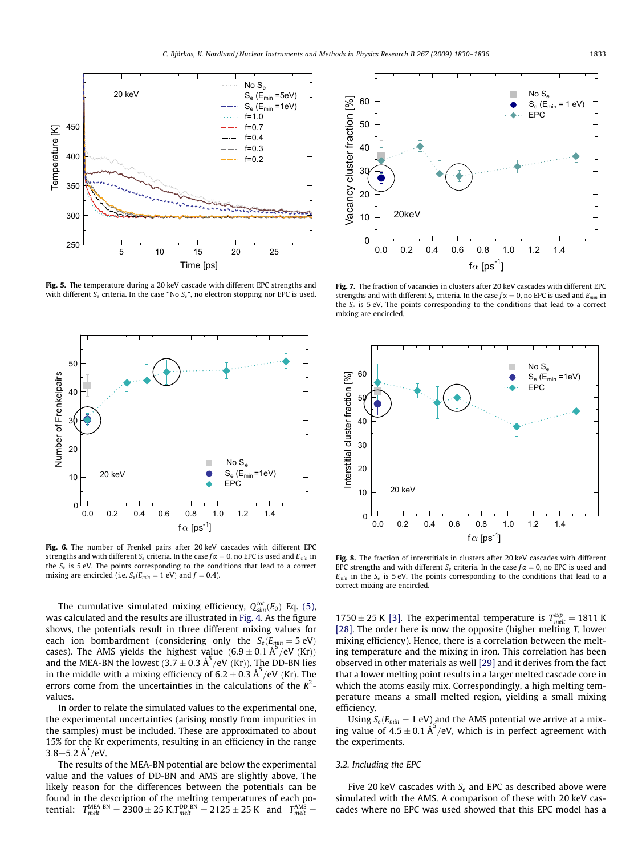<span id="page-3-0"></span>

Fig. 5. The temperature during a 20 keV cascade with different EPC strengths and with different  $S_e$  criteria. In the case "No  $S_e$ ", no electron stopping nor EPC is used.



Fig. 6. The number of Frenkel pairs after 20 keV cascades with different EPC strengths and with different  $S_e$  criteria. In the case  $f\alpha = 0$ , no EPC is used and  $E_{min}$  in the  $S_e$  is 5 eV. The points corresponding to the conditions that lead to a correct mixing are encircled (i.e.  $S_e(E_{min} = 1 \text{ eV})$  and  $f = 0.4$ ).

The cumulative simulated mixing efficiency,  $Q_{sim}^{tot}(E_0)$  Eq. [\(5\),](#page-1-0) was calculated and the results are illustrated in [Fig. 4](#page-2-0). As the figure shows, the potentials result in three different mixing values for each ion bombardment (considering only the  $S_e(E_{min} = 5 \text{ eV})$ cases). The AMS yields the highest value  $(6.9 \pm 0.1 \text{ Å}^3/\text{eV} \text{ (Kr)})$ and the MEA-BN the lowest  $(3.7 \pm 0.3 \text{ Å}^5/\text{eV}^3)(\text{Kr})$ ). The DD-BN lies in the middle with a mixing efficiency of 6.2  $\pm$  0.3 Å<sup>5</sup>/eV (Kr). The errors come from the uncertainties in the calculations of the  $R^2$ values.

In order to relate the simulated values to the experimental one, the experimental uncertainties (arising mostly from impurities in the samples) must be included. These are approximated to about 15% for the Kr experiments, resulting in an efficiency in the range 3.8–5.2 Å $^{5}$ /eV.

The results of the MEA-BN potential are below the experimental value and the values of DD-BN and AMS are slightly above. The likely reason for the differences between the potentials can be found in the description of the melting temperatures of each potential:  $T_{melt}^{\text{MEA-BN}} = 2300 \pm 25$  K, $T_{melt}^{\text{DD-BN}} = 2125 \pm 25$  K and  $T_{melt}^{\text{AMS}} =$ 



Fig. 7. The fraction of vacancies in clusters after 20 keV cascades with different EPC strengths and with different  $S_e$  criteria. In the case  $f\alpha = 0$ , no EPC is used and  $E_{min}$  in the  $S_e$  is 5 eV. The points corresponding to the conditions that lead to a correct mixing are encircled.



Fig. 8. The fraction of interstitials in clusters after 20 keV cascades with different EPC strengths and with different  $S_e$  criteria. In the case  $f\alpha = 0$ , no EPC is used and  $E_{min}$  in the  $S_e$  is 5 eV. The points corresponding to the conditions that lead to a correct mixing are encircled.

1750  $\pm$  25 K [\[3\].](#page-5-0) The experimental temperature is  $T_{melt}^{exp} = 1811$  K [\[28\]](#page-6-0). The order here is now the opposite (higher melting T, lower mixing efficiency). Hence, there is a correlation between the melting temperature and the mixing in iron. This correlation has been observed in other materials as well [\[29\]](#page-6-0) and it derives from the fact that a lower melting point results in a larger melted cascade core in which the atoms easily mix. Correspondingly, a high melting temperature means a small melted region, yielding a small mixing efficiency.

Using  $S_e(E_{min} = 1 \text{ eV})$  and the AMS potential we arrive at a mixing value of  $4.5 \pm 0.1$   $\AA^5$ /eV, which is in perfect agreement with the experiments.

# 3.2. Including the EPC

Five 20 keV cascades with  $S_e$  and EPC as described above were simulated with the AMS. A comparison of these with 20 keV cascades where no EPC was used showed that this EPC model has a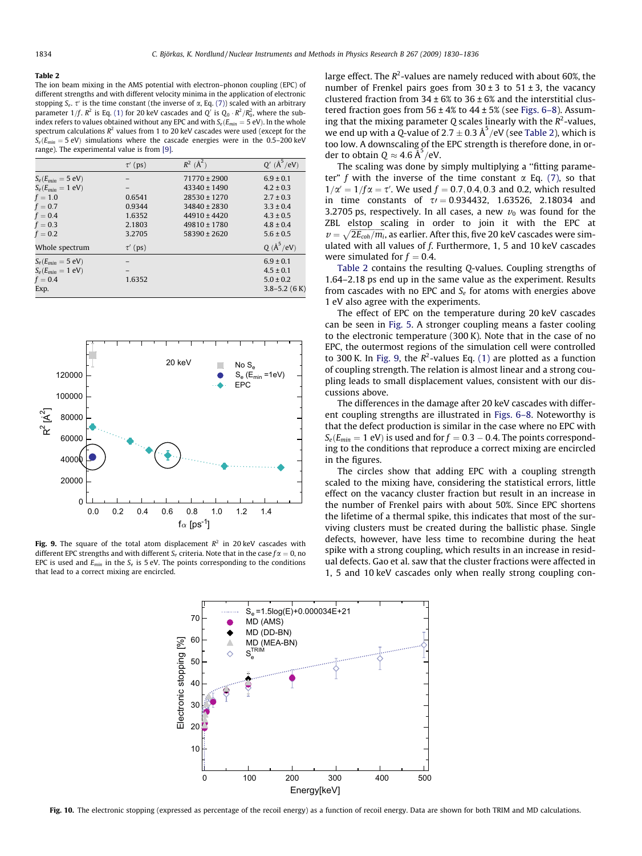#### <span id="page-4-0"></span>Table 2

The ion beam mixing in the AMS potential with electron–phonon coupling (EPC) of different strengths and with different velocity minima in the application of electronic stopping  $S_e$ ,  $\tau'$  is the time constant (the inverse of  $\alpha$ , Eq. [\(7\)\)](#page-1-0) scaled with an arbitrary parameter 1/f.  $R^2$  is Eq. [\(1\)](#page-1-0) for 20 keV cascades and Q' is Q<sub>0</sub>  $\cdot$   $R^2/R_0^2$ , where the subindex refers to values obtained without any EPC and with  $S_e(E_{min} = 5 \text{ eV})$ . In the whole spectrum calculations  $R^2$  values from 1 to 20 keV cascades were used (except for the  $S_e(E_{min} = 5 \text{ eV})$  simulations where the cascade energies were in the 0.5–200 keV range). The experimental value is from [\[9\]](#page-5-0).

|                       | $\tau'$ (ps) | $R^2$ ( $\text{\AA}^2$ ) | $Q'$ ( $\text{\AA}^5$ /eV)  |
|-----------------------|--------------|--------------------------|-----------------------------|
| $S_e(E_{min} = 5$ eV) |              | $71770 \pm 2900$         | $6.9 \pm 0.1$               |
| $S_e(E_{min} = 1$ eV) |              | $43340 \pm 1490$         | $4.2 \pm 0.3$               |
| $f=1.0$               | 0.6541       | 28530 ± 1270             | $2.7 \pm 0.3$               |
| $f = 0.7$             | 0.9344       | 34840 ± 2830             | $3.3 \pm 0.4$               |
| $f=0.4$               | 1.6352       | $44910 \pm 4420$         | $4.3 \pm 0.5$               |
| $f = 0.3$             | 2.1803       | $49810 \pm 1780$         | $4.8 \pm 0.4$               |
| $f=0.2$               | 3.2705       | $58390 \pm 2620$         | $5.6 \pm 0.5$               |
| Whole spectrum        | $\tau'$ (ps) |                          | $Q(\text{\AA}^5/\text{eV})$ |
| $S_e(E_{min} = 5$ eV) |              |                          | $6.9 \pm 0.1$               |
| $S_e(E_{min} = 1$ eV) |              |                          | $4.5 \pm 0.1$               |
| $f=0.4$               | 1.6352       |                          | $5.0 \pm 0.2$               |
| Exp.                  |              |                          | $3.8 - 5.2$ (6 K)           |



Fig. 9. The square of the total atom displacement  $R^2$  in 20 keV cascades with different EPC strengths and with different  $S_e$  criteria. Note that in the case  $f\alpha = 0$ , no EPC is used and  $E_{min}$  in the  $S_e$  is 5 eV. The points corresponding to the conditions that lead to a correct mixing are encircled.

large effect. The  $R^2$ -values are namely reduced with about 60%, the number of Frenkel pairs goes from  $30 \pm 3$  to  $51 \pm 3$ , the vacancy clustered fraction from  $34 \pm 6\%$  to  $36 \pm 6\%$  and the interstitial clustered fraction goes from  $56 \pm 4\%$  to  $44 \pm 5\%$  (see [Figs. 6–8\)](#page-3-0). Assuming that the mixing parameter Q scales linearly with the  $R^2$ -values, we end up with a Q-value of  $2.7 \pm 0.3$  Å<sup>5</sup>/eV (see Table 2), which is too low. A downscaling of the EPC strength is therefore done, in order to obtain  $Q \approx 4.6 \, \text{\AA}^5/\text{eV}$ .

The scaling was done by simply multiplying a ''fitting parameter" f with the inverse of the time constant  $\alpha$  Eq. [\(7\),](#page-1-0) so that  $1/\alpha' = 1/f\alpha = \tau'$ . We used  $f = 0.7, 0.4, 0.3$  and 0.2, which resulted in time constants of  $\tau$  = 0.934432, 1.63526, 2.18034 and 3.2705 ps, respectively. In all cases, a new  $v_0$  was found for the ZBL elstop scaling in order to join it with the EPC at  $v = \sqrt{2E_{coh}/m_i}$ , as earlier. After this, five 20 keV cascades were simulated with all values of f. Furthermore, 1, 5 and 10 keV cascades were simulated for  $f = 0.4$ .

Table 2 contains the resulting Q-values. Coupling strengths of 1.64–2.18 ps end up in the same value as the experiment. Results from cascades with no EPC and  $S_e$  for atoms with energies above 1 eV also agree with the experiments.

The effect of EPC on the temperature during 20 keV cascades can be seen in [Fig. 5.](#page-3-0) A stronger coupling means a faster cooling to the electronic temperature (300 K). Note that in the case of no EPC, the outermost regions of the simulation cell were controlled to 300 K. In Fig. 9, the  $R^2$ -values Eq. [\(1\)](#page-1-0) are plotted as a function of coupling strength. The relation is almost linear and a strong coupling leads to small displacement values, consistent with our discussions above.

The differences in the damage after 20 keV cascades with different coupling strengths are illustrated in [Figs. 6–8](#page-3-0). Noteworthy is that the defect production is similar in the case where no EPC with  $S_e(E_{min} = 1$  eV) is used and for  $f = 0.3 - 0.4$ . The points corresponding to the conditions that reproduce a correct mixing are encircled in the figures.

The circles show that adding EPC with a coupling strength scaled to the mixing have, considering the statistical errors, little effect on the vacancy cluster fraction but result in an increase in the number of Frenkel pairs with about 50%. Since EPC shortens the lifetime of a thermal spike, this indicates that most of the surviving clusters must be created during the ballistic phase. Single defects, however, have less time to recombine during the heat spike with a strong coupling, which results in an increase in residual defects. Gao et al. saw that the cluster fractions were affected in 1, 5 and 10 keV cascades only when really strong coupling con-



Fig. 10. The electronic stopping (expressed as percentage of the recoil energy) as a function of recoil energy. Data are shown for both TRIM and MD calculations.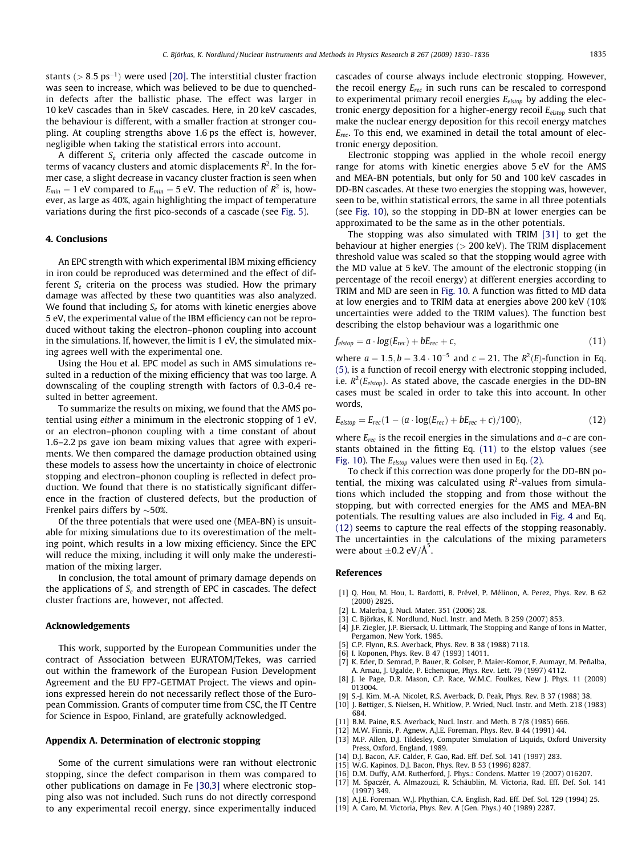<span id="page-5-0"></span>stants ( $> 8.5 \text{ ps}^{-1}$ ) were used [\[20\].](#page-6-0) The interstitial cluster fraction was seen to increase, which was believed to be due to quenchedin defects after the ballistic phase. The effect was larger in 10 keV cascades than in 5keV cascades. Here, in 20 keV cascades, the behaviour is different, with a smaller fraction at stronger coupling. At coupling strengths above 1.6 ps the effect is, however, negligible when taking the statistical errors into account.

A different  $S_e$  criteria only affected the cascade outcome in terms of vacancy clusters and atomic displacements  $R^2$ . In the former case, a slight decrease in vacancy cluster fraction is seen when  $E_{min} = 1$  eV compared to  $E_{min} = 5$  eV. The reduction of  $R^2$  is, however, as large as 40%, again highlighting the impact of temperature variations during the first pico-seconds of a cascade (see [Fig. 5\)](#page-3-0).

# 4. Conclusions

An EPC strength with which experimental IBM mixing efficiency in iron could be reproduced was determined and the effect of different  $S_e$  criteria on the process was studied. How the primary damage was affected by these two quantities was also analyzed. We found that including  $S_e$  for atoms with kinetic energies above 5 eV, the experimental value of the IBM efficiency can not be reproduced without taking the electron–phonon coupling into account in the simulations. If, however, the limit is 1 eV, the simulated mixing agrees well with the experimental one.

Using the Hou et al. EPC model as such in AMS simulations resulted in a reduction of the mixing efficiency that was too large. A downscaling of the coupling strength with factors of 0.3-0.4 resulted in better agreement.

To summarize the results on mixing, we found that the AMS potential using either a minimum in the electronic stopping of 1 eV, or an electron–phonon coupling with a time constant of about 1.6–2.2 ps gave ion beam mixing values that agree with experiments. We then compared the damage production obtained using these models to assess how the uncertainty in choice of electronic stopping and electron–phonon coupling is reflected in defect production. We found that there is no statistically significant difference in the fraction of clustered defects, but the production of Frenkel pairs differs by  $\sim$  50%.

Of the three potentials that were used one (MEA-BN) is unsuitable for mixing simulations due to its overestimation of the melting point, which results in a low mixing efficiency. Since the EPC will reduce the mixing, including it will only make the underestimation of the mixing larger.

In conclusion, the total amount of primary damage depends on the applications of  $S_e$  and strength of EPC in cascades. The defect cluster fractions are, however, not affected.

#### Acknowledgements

This work, supported by the European Communities under the contract of Association between EURATOM/Tekes, was carried out within the framework of the European Fusion Development Agreement and the EU FP7-GETMAT Project. The views and opinions expressed herein do not necessarily reflect those of the European Commission. Grants of computer time from CSC, the IT Centre for Science in Espoo, Finland, are gratefully acknowledged.

#### Appendix A. Determination of electronic stopping

Some of the current simulations were ran without electronic stopping, since the defect comparison in them was compared to other publications on damage in Fe [\[30,3\]](#page-6-0) where electronic stopping also was not included. Such runs do not directly correspond to any experimental recoil energy, since experimentally induced cascades of course always include electronic stopping. However, the recoil energy  $E_{rec}$  in such runs can be rescaled to correspond to experimental primary recoil energies  $E_{elston}$  by adding the electronic energy deposition for a higher-energy recoil  $E_{elston}$  such that make the nuclear energy deposition for this recoil energy matches  $E_{rec}$ . To this end, we examined in detail the total amount of electronic energy deposition.

Electronic stopping was applied in the whole recoil energy range for atoms with kinetic energies above 5 eV for the AMS and MEA-BN potentials, but only for 50 and 100 keV cascades in DD-BN cascades. At these two energies the stopping was, however, seen to be, within statistical errors, the same in all three potentials (see [Fig. 10\)](#page-4-0), so the stopping in DD-BN at lower energies can be approximated to be the same as in the other potentials.

The stopping was also simulated with TRIM [\[31\]](#page-6-0) to get the behaviour at higher energies  $(> 200 \text{ keV})$ . The TRIM displacement threshold value was scaled so that the stopping would agree with the MD value at 5 keV. The amount of the electronic stopping (in percentage of the recoil energy) at different energies according to TRIM and MD are seen in [Fig. 10](#page-4-0). A function was fitted to MD data at low energies and to TRIM data at energies above 200 keV (10% uncertainties were added to the TRIM values). The function best describing the elstop behaviour was a logarithmic one

$$
f_{\text{elstop}} = a \cdot \log(E_{\text{rec}}) + bE_{\text{rec}} + c,\tag{11}
$$

where  $a = 1.5, b = 3.4 \cdot 10^{-5}$  and  $c = 21$ . The  $R^2(E)$ -function in Eq. [\(5\)](#page-1-0), is a function of recoil energy with electronic stopping included, i.e.  $R^2(E_{elstop})$ . As stated above, the cascade energies in the DD-BN cases must be scaled in order to take this into account. In other words,

$$
E_{\text{elstop}} = E_{\text{rec}}(1 - (a \cdot \log(E_{\text{rec}}) + bE_{\text{rec}} + c)/100), \tag{12}
$$

where  $E_{rec}$  is the recoil energies in the simulations and  $a-c$  are constants obtained in the fitting Eq. (11) to the elstop values (see [Fig. 10](#page-4-0)). The  $E_{elstop}$  values were then used in Eq. [\(2\).](#page-1-0)

To check if this correction was done properly for the DD-BN potential, the mixing was calculated using  $R^2$ -values from simulations which included the stopping and from those without the stopping, but with corrected energies for the AMS and MEA-BN potentials. The resulting values are also included in [Fig. 4](#page-2-0) and Eq. (12) seems to capture the real effects of the stopping reasonably. The uncertainties in the calculations of the mixing parameters were about  $\pm$ 0.2 eV/Å<sup>5</sup>.

#### References

- [1] Q. Hou, M. Hou, L. Bardotti, B. Prével, P. Mélinon, A. Perez, Phys. Rev. B 62 (2000) 2825.
- [2] L. Malerba, J. Nucl. Mater. 351 (2006) 28.
- [3] C. Björkas, K. Nordlund, Nucl. Instr. and Meth. B 259 (2007) 853.
- [4] J.F. Ziegler, J.P. Biersack, U. Littmark, The Stopping and Range of Ions in Matter, Pergamon, New York, 1985.
- [5] C.P. Flynn, R.S. Averback, Phys. Rev. B 38 (1988) 7118.
- [6] I. Koponen, Phys. Rev. B 47 (1993) 14011.
- [7] K. Eder, D. Semrad, P. Bauer, R. Golser, P. Maier-Komor, F. Aumayr, M. Peñalba, A. Arnau, J. Ugalde, P. Echenique, Phys. Rev. Lett. 79 (1997) 4112.
- [8] J. le Page, D.R. Mason, C.P. Race, W.M.C. Foulkes, New J. Phys. 11 (2009) 013004.
- [9] S.-J. Kim, M.-A. Nicolet, R.S. Averback, D. Peak, Phys. Rev. B 37 (1988) 38.
- [10] J. Bøttiger, S. Nielsen, H. Whitlow, P. Wried, Nucl. Instr. and Meth. 218 (1983) 684.
- [11] B.M. Paine, R.S. Averback, Nucl. Instr. and Meth. B 7/8 (1985) 666.
- [12] M.W. Finnis, P. Agnew, A.J.E. Foreman, Phys. Rev. B 44 (1991) 44.
- [13] M.P. Allen, D.J. Tildesley, Computer Simulation of Liquids, Oxford University Press, Oxford, England, 1989.
- [14] D.J. Bacon, A.F. Calder, F. Gao, Rad. Eff. Def. Sol. 141 (1997) 283.
- [15] W.G. Kapinos, D.J. Bacon, Phys. Rev. B 53 (1996) 8287.
- [16] D.M. Duffy, A.M. Rutherford, J. Phys.: Condens. Matter 19 (2007) 016207. [17] M. Spaczér, A. Almazouzi, R. Schäublin, M. Victoria, Rad. Eff. Def. Sol. 141
- (1997) 349. [18] A.J.E. Foreman, W.J. Phythian, C.A. English, Rad. Eff. Def. Sol. 129 (1994) 25.
- [19] A. Caro, M. Victoria, Phys. Rev. A (Gen. Phys.) 40 (1989) 2287.